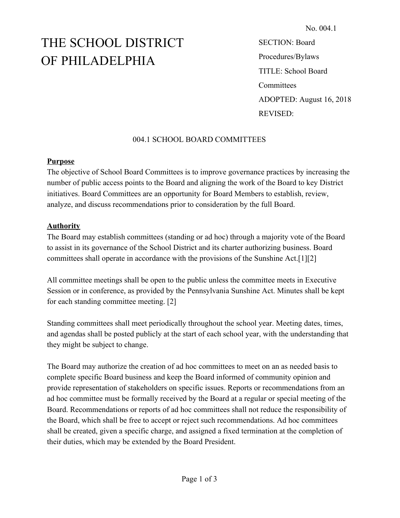# THE SCHOOL DISTRICT OF PHILADELPHIA

SECTION: Board Procedures/Bylaws TITLE: School Board **Committees** ADOPTED: August 16, 2018 REVISED:

## 004.1 SCHOOL BOARD COMMITTEES

#### **Purpose**

The objective of School Board Committees is to improve governance practices by increasing the number of public access points to the Board and aligning the work of the Board to key District initiatives. Board Committees are an opportunity for Board Members to establish, review, analyze, and discuss recommendations prior to consideration by the full Board.

### **Authority**

The Board may establish committees (standing or ad hoc) through a majority vote of the Board to assist in its governance of the School District and its charter authorizing business. Board committees shall operate in accordance with the provisions of the Sunshine Act.[1][2]

All committee meetings shall be open to the public unless the committee meets in Executive Session or in conference, as provided by the Pennsylvania Sunshine Act. Minutes shall be kept for each standing committee meeting. [2]

Standing committees shall meet periodically throughout the school year. Meeting dates, times, and agendas shall be posted publicly at the start of each school year, with the understanding that they might be subject to change.

The Board may authorize the creation of ad hoc committees to meet on an as needed basis to complete specific Board business and keep the Board informed of community opinion and provide representation of stakeholders on specific issues. Reports or recommendations from an ad hoc committee must be formally received by the Board at a regular or special meeting of the Board. Recommendations or reports of ad hoc committees shall not reduce the responsibility of the Board, which shall be free to accept or reject such recommendations. Ad hoc committees shall be created, given a specific charge, and assigned a fixed termination at the completion of their duties, which may be extended by the Board President.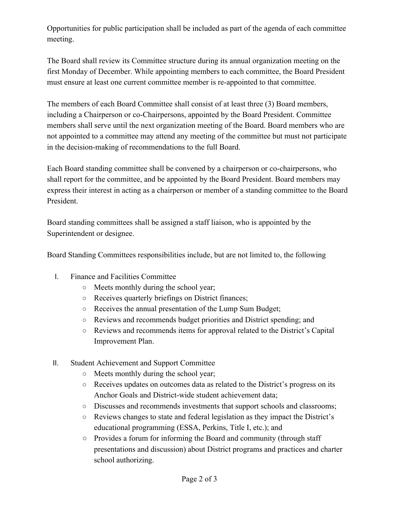Opportunities for public participation shall be included as part of the agenda of each committee meeting.

The Board shall review its Committee structure during its annual organization meeting on the first Monday of December. While appointing members to each committee, the Board President must ensure at least one current committee member is re-appointed to that committee.

The members of each Board Committee shall consist of at least three (3) Board members, including a Chairperson or co-Chairpersons, appointed by the Board President. Committee members shall serve until the next organization meeting of the Board. Board members who are not appointed to a committee may attend any meeting of the committee but must not participate in the decision-making of recommendations to the full Board.

Each Board standing committee shall be convened by a chairperson or co-chairpersons, who shall report for the committee, and be appointed by the Board President. Board members may express their interest in acting as a chairperson or member of a standing committee to the Board President.

Board standing committees shall be assigned a staff liaison, who is appointed by the Superintendent or designee.

Board Standing Committees responsibilities include, but are not limited to, the following

- I. Finance and Facilities Committee
	- Meets monthly during the school year;
	- Receives quarterly briefings on District finances;
	- Receives the annual presentation of the Lump Sum Budget;
	- Reviews and recommends budget priorities and District spending; and
	- Reviews and recommends items for approval related to the District's Capital Improvement Plan.
- II. Student Achievement and Support Committee
	- Meets monthly during the school year;
	- Receives updates on outcomes data as related to the District's progress on its Anchor Goals and District-wide student achievement data;
	- Discusses and recommends investments that support schools and classrooms;
	- Reviews changes to state and federal legislation as they impact the District's educational programming (ESSA, Perkins, Title I, etc.); and
	- Provides a forum for informing the Board and community (through staff presentations and discussion) about District programs and practices and charter school authorizing.